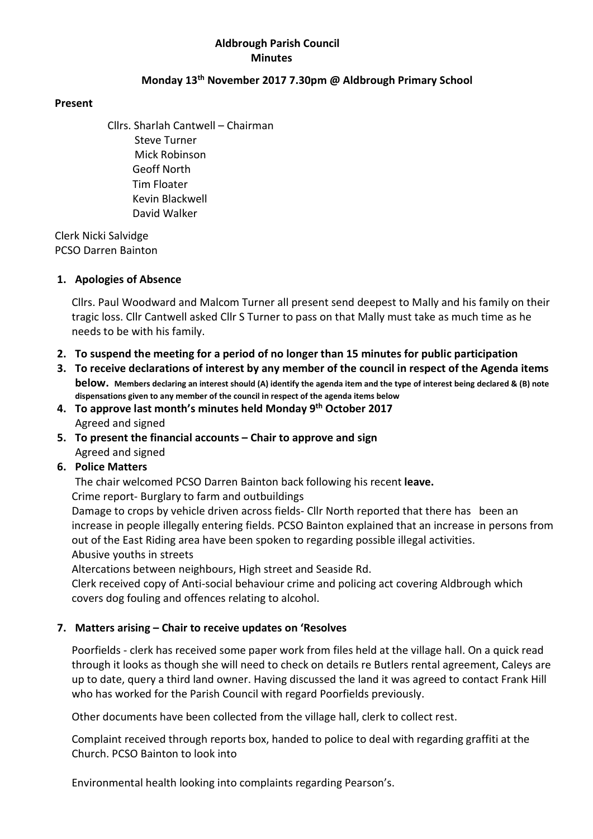## Aldbrough Parish Council **Minutes**

## Monday 13th November 2017 7.30pm @ Aldbrough Primary School

#### Present

Cllrs. Sharlah Cantwell – Chairman Steve Turner Mick Robinson Geoff North Tim Floater Kevin Blackwell David Walker

 Clerk Nicki Salvidge PCSO Darren Bainton

#### 1. Apologies of Absence

Cllrs. Paul Woodward and Malcom Turner all present send deepest to Mally and his family on their tragic loss. Cllr Cantwell asked Cllr S Turner to pass on that Mally must take as much time as he needs to be with his family.

- 2. To suspend the meeting for a period of no longer than 15 minutes for public participation
- 3. To receive declarations of interest by any member of the council in respect of the Agenda items below. Members declaring an interest should (A) identify the agenda item and the type of interest being declared & (B) note dispensations given to any member of the council in respect of the agenda items below
- 4. To approve last month's minutes held Monday 9<sup>th</sup> October 2017 Agreed and signed
- 5. To present the financial accounts Chair to approve and sign Agreed and signed

# 6. Police Matters

The chair welcomed PCSO Darren Bainton back following his recent leave.

Crime report- Burglary to farm and outbuildings

Damage to crops by vehicle driven across fields- Cllr North reported that there has been an increase in people illegally entering fields. PCSO Bainton explained that an increase in persons from out of the East Riding area have been spoken to regarding possible illegal activities. Abusive youths in streets

Altercations between neighbours, High street and Seaside Rd.

Clerk received copy of Anti-social behaviour crime and policing act covering Aldbrough which covers dog fouling and offences relating to alcohol.

# 7. Matters arising – Chair to receive updates on 'Resolves

Poorfields - clerk has received some paper work from files held at the village hall. On a quick read through it looks as though she will need to check on details re Butlers rental agreement, Caleys are up to date, query a third land owner. Having discussed the land it was agreed to contact Frank Hill who has worked for the Parish Council with regard Poorfields previously.

Other documents have been collected from the village hall, clerk to collect rest.

Complaint received through reports box, handed to police to deal with regarding graffiti at the Church. PCSO Bainton to look into

Environmental health looking into complaints regarding Pearson's.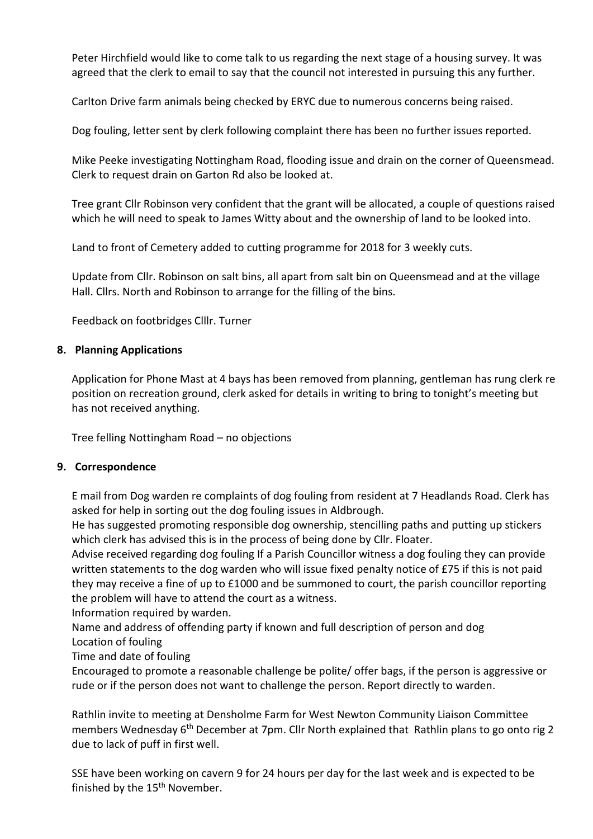Peter Hirchfield would like to come talk to us regarding the next stage of a housing survey. It was agreed that the clerk to email to say that the council not interested in pursuing this any further.

Carlton Drive farm animals being checked by ERYC due to numerous concerns being raised.

Dog fouling, letter sent by clerk following complaint there has been no further issues reported.

Mike Peeke investigating Nottingham Road, flooding issue and drain on the corner of Queensmead. Clerk to request drain on Garton Rd also be looked at.

Tree grant Cllr Robinson very confident that the grant will be allocated, a couple of questions raised which he will need to speak to James Witty about and the ownership of land to be looked into.

Land to front of Cemetery added to cutting programme for 2018 for 3 weekly cuts.

Update from Cllr. Robinson on salt bins, all apart from salt bin on Queensmead and at the village Hall. Cllrs. North and Robinson to arrange for the filling of the bins.

Feedback on footbridges Clllr. Turner

## 8. Planning Applications

Application for Phone Mast at 4 bays has been removed from planning, gentleman has rung clerk re position on recreation ground, clerk asked for details in writing to bring to tonight's meeting but has not received anything.

Tree felling Nottingham Road – no objections

#### 9. Correspondence

E mail from Dog warden re complaints of dog fouling from resident at 7 Headlands Road. Clerk has asked for help in sorting out the dog fouling issues in Aldbrough.

He has suggested promoting responsible dog ownership, stencilling paths and putting up stickers which clerk has advised this is in the process of being done by Cllr. Floater.

Advise received regarding dog fouling If a Parish Councillor witness a dog fouling they can provide written statements to the dog warden who will issue fixed penalty notice of £75 if this is not paid they may receive a fine of up to £1000 and be summoned to court, the parish councillor reporting the problem will have to attend the court as a witness.

Information required by warden.

Name and address of offending party if known and full description of person and dog Location of fouling

# Time and date of fouling

Encouraged to promote a reasonable challenge be polite/ offer bags, if the person is aggressive or rude or if the person does not want to challenge the person. Report directly to warden.

Rathlin invite to meeting at Densholme Farm for West Newton Community Liaison Committee members Wednesday 6<sup>th</sup> December at 7pm. Cllr North explained that Rathlin plans to go onto rig 2 due to lack of puff in first well.

SSE have been working on cavern 9 for 24 hours per day for the last week and is expected to be finished by the 15<sup>th</sup> November.